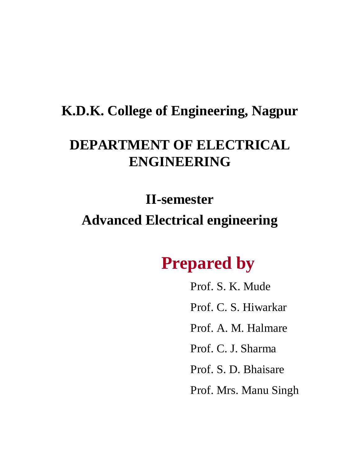# **K.D.K. College of Engineering, Nagpur**

# **DEPARTMENT OF ELECTRICAL ENGINEERING**

**II-semester**

# **Advanced Electrical engineering**

# **Prepared by**

- Prof. S. K. Mude
- Prof. C. S. Hiwarkar
- Prof. A. M. Halmare
- Prof. C. J. Sharma
- Prof. S. D. Bhaisare
- Prof. Mrs. Manu Singh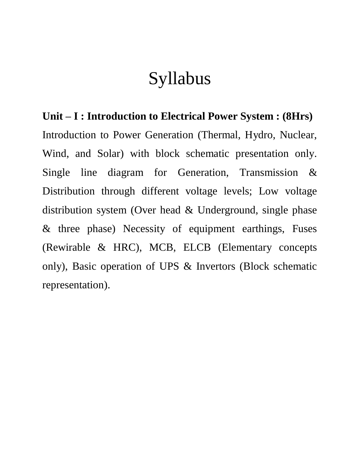# Syllabus

# **Unit – I : Introduction to Electrical Power System : (8Hrs)**

Introduction to Power Generation (Thermal, Hydro, Nuclear, Wind, and Solar) with block schematic presentation only. Single line diagram for Generation, Transmission & Distribution through different voltage levels; Low voltage distribution system (Over head & Underground, single phase & three phase) Necessity of equipment earthings, Fuses (Rewirable & HRC), MCB, ELCB (Elementary concepts only), Basic operation of UPS & Invertors (Block schematic representation).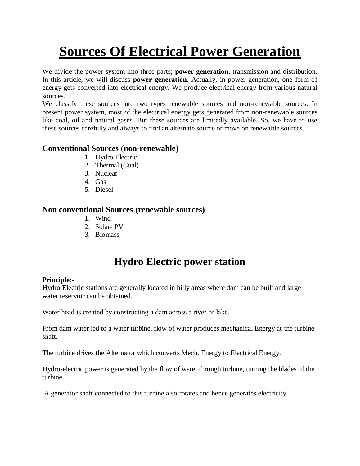# **Sources Of Electrical Power Generation**

We divide the power system into three parts; **power generation**, transmission and distribution. In this article, we will discuss **power generation**. Actually, in power generation, one form of energy gets converted into electrical energy. We produce electrical energy from various natural sources.

We classify these sources into two types renewable sources and non-renewable sources. In present power system, most of the electrical energy gets generated from non-renewable sources like coal, oil and natural gases. But these sources are limitedly available. So, we have to use these sources carefully and always to find an alternate source or move on renewable sources.

## **Conventional Sources** (**non-renewable)**

- 1. Hydro Electric
- 2. Thermal (Coal)
- 3. Nuclear
- 4. Gas
- 5. Diesel

## **Non conventional Sources (renewable sources)**

- 1. Wind
- 2. Solar- PV
- 3. Biomass

# **Hydro Electric power station**

### **Principle:-**

Hydro Electric stations are generally located in hilly areas where dam can be built and large water reservoir can be obtained.

Water head is created by constructing a dam across a river or lake.

From dam water led to a water turbine, flow of water produces mechanical Energy at the turbine shaft.

The turbine drives the Alternator which converts Mech. Energy to Electrical Energy.

Hydro-electric power is generated by the flow of water through turbine, turning the blades of the turbine.

A generator shaft connected to this turbine also rotates and hence generates electricity.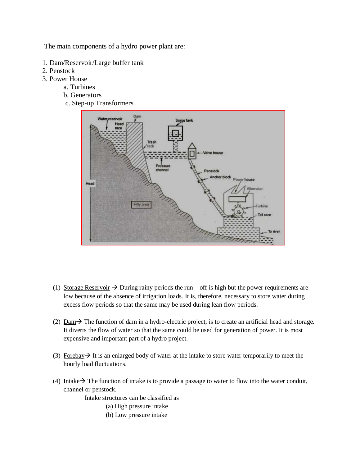The main components of a hydro power plant are:

- 1. Dam/Reservoir/Large buffer tank
- 2. Penstock
- 3. Power House
	- a. Turbines
	- b. Generators
	- c. Step-up Transformers



- (1) Storage Reservoir  $\rightarrow$  During rainy periods the run off is high but the power requirements are low because of the absence of irrigation loads. It is, therefore, necessary to store water during excess flow periods so that the same may be used during lean flow periods.
- (2)  $\text{Dam} \rightarrow$  The function of dam in a hydro-electric project, is to create an artificial head and storage. It diverts the flow of water so that the same could be used for generation of power. It is most expensive and important part of a hydro project.
- (3) Forebay  $\rightarrow$  It is an enlarged body of water at the intake to store water temporarily to meet the hourly load fluctuations.
- (4) Intake  $\rightarrow$  The function of intake is to provide a passage to water to flow into the water conduit, channel or penstock.

Intake structures can be classified as

(a) High pressure intake

(b) Low pressure intake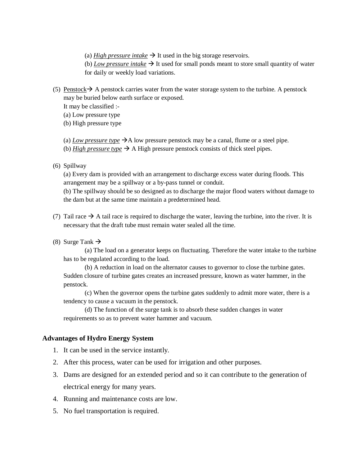(a) *High pressure intake*  $\rightarrow$  It used in the big storage reservoirs.

(b) *Low pressure intake*  $\rightarrow$  It used for small ponds meant to store small quantity of water for daily or weekly load variations.

(5) Penstock  $\rightarrow$  A penstock carries water from the water storage system to the turbine. A penstock may be buried below earth surface or exposed.

It may be classified :-

- (a) Low pressure type
- (b) High pressure type

(a) *Low pressure type*  $\rightarrow$  A low pressure penstock may be a canal, flume or a steel pipe. (b) *High pressure type*  $\rightarrow$  A High pressure penstock consists of thick steel pipes.

(6) Spillway

(a) Every dam is provided with an arrangement to discharge excess water during floods. This arrangement may be a spillway or a by-pass tunnel or conduit.

(b) The spillway should be so designed as to discharge the major flood waters without damage to the dam but at the same time maintain a predetermined head.

- (7) Tail race  $\rightarrow$  A tail race is required to discharge the water, leaving the turbine, into the river. It is necessary that the draft tube must remain water sealed all the time.
- (8) Surge Tank  $\rightarrow$

(a) The load on a generator keeps on fluctuating. Therefore the water intake to the turbine has to be regulated according to the load.

(b) A reduction in load on the alternator causes to governor to close the turbine gates. Sudden closure of turbine gates creates an increased pressure, known as water hammer, in the penstock.

(c) When the governor opens the turbine gates suddenly to admit more water, there is a tendency to cause a vacuum in the penstock.

(d) The function of the surge tank is to absorb these sudden changes in water requirements so as to prevent water hammer and vacuum.

#### **Advantages of Hydro Energy System**

- 1. It can be used in the service instantly.
- 2. After this process, water can be used for irrigation and other purposes.
- 3. Dams are designed for an extended period and so it can contribute to the generation of electrical energy for many years.
- 4. Running and maintenance costs are low.
- 5. No fuel transportation is required.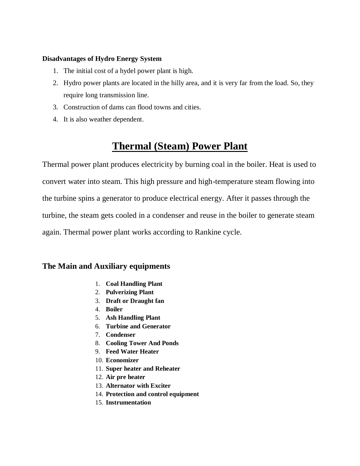### **Disadvantages of Hydro Energy System**

- 1. The initial cost of a hydel power plant is high.
- 2. Hydro power plants are located in the hilly area, and it is very far from the load. So, they require [long transmission line.](https://www.electrical4u.com/long-transmission-line/)
- 3. Construction of dams can flood towns and cities.
- 4. It is also weather dependent.

# **Thermal (Steam) Power Plant**

[Thermal](https://www.electrical4u.com/thermal-power-generation-plant-or-thermal-power-station/) power plant produces [electricity](https://www.electrical4u.com/electric-current-and-theory-of-electricity/) by burning coal in the boiler. Heat is used to convert water into steam. This high pressure and high-temperature steam flowing into the turbine spins a generator to produce electrical energy. After it passes through the turbine, the steam gets cooled in a condenser and reuse in the boiler to generate steam again. Thermal power plant works according to [Rankine](https://www.electrical4u.com/rankine-cycle/) cycle.

## **The Main and Auxiliary equipments**

- 1. **Coal Handling Plant**
- 2. **Pulverizing Plant**
- 3. **Draft or Draught fan**
- 4. **Boiler**
- 5. **Ash Handling Plant**
- 6. **Turbine and Generator**
- 7. **Condenser**
- 8. **Cooling Tower And Ponds**
- 9. **Feed Water Heater**
- 10. **Economizer**
- 11. **Super heater and Reheater**
- 12. **Air pre heater**
- 13. **Alternator with Exciter**
- 14. **Protection and control equipment**
- 15. **Instrumentation**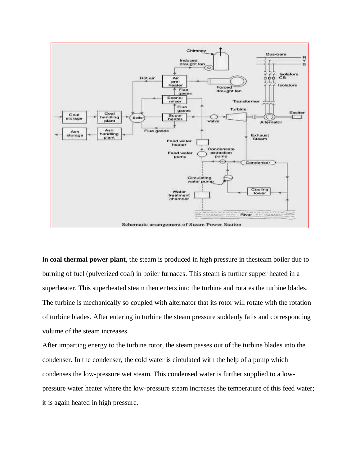

In **coal thermal power plant**, the steam is produced in high pressure in th[esteam](https://www.electrical4u.com/steam-boiler-working-principle-and-types-of-boiler/) boiler due to burning of fuel (pulverized coal) in boiler furnaces. This steam is further supper heated in a superheater. This superheated steam then enters into the turbine and rotates the turbine blades. The turbine is mechanically so coupled with [alternator](https://www.electrical4u.com/alternator-or-synchronous-generator/) that its rotor will rotate with the rotation of turbine blades. After entering in turbine the steam pressure suddenly falls and corresponding volume of the steam increases.

After imparting energy to the turbine rotor, the steam passes out of the turbine blades into the condenser. In the condenser, the cold water is circulated with the help of a pump which condenses the low-pressure wet steam. This condensed water is further supplied to a lowpressure water heater where the low-pressure steam increases the temperature of this feed water; it is again heated in high pressure.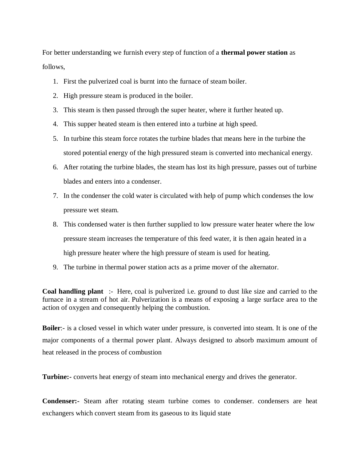For better understanding we furnish every step of function of a **thermal power station** as follows,

- 1. First the pulverized coal is burnt into the [furnace](https://www.electrical4u.com/steam-boiler-furnace-grate-firebox-combustion-chamber-of-furnace/) of steam boiler.
- 2. High pressure steam is produced in the boiler.
- 3. This steam is then passed through the super heater, where it further heated up.
- 4. This supper heated steam is then entered into a turbine at high speed.
- 5. In turbine this steam force rotates the turbine blades that means here in the turbine the stored potential energy of the high pressured steam is converted into mechanical energy.
- 6. After rotating the turbine blades, the steam has lost its high pressure, passes out of turbine blades and enters into a condenser.
- 7. In the condenser the cold water is circulated with help of pump which condenses the low pressure wet steam.
- 8. This condensed water is then further supplied to low pressure water heater where the low pressure steam increases the temperature of this feed water, it is then again heated in a high pressure heater where the high pressure of steam is used for heating.
- 9. The turbine in thermal power station acts as a prime mover of the [alternator.](https://www.electrical4u.com/alternator-or-synchronous-generator/)

**Coal handling plant** :- Here, coal is pulverized i.e. ground to dust like size and carried to the furnace in a stream of hot air. Pulverization is a means of exposing a large surface area to the action of oxygen and consequently helping the combustion.

**Boiler**:- is a closed vessel in which water under pressure, is converted into steam. It is one of the major components of a thermal power plant. Always designed to absorb maximum amount of heat released in the process of combustion

**Turbine:-** converts heat energy of steam into mechanical energy and drives the generator.

**Condenser:-** Steam after rotating steam turbine comes to condenser. condensers are heat exchangers which convert steam from its gaseous to its liquid state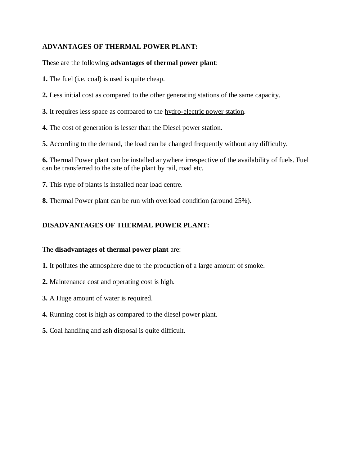### **ADVANTAGES OF THERMAL POWER PLANT:**

#### These are the following **advantages of thermal power plant**:

- **1.** The fuel (i.e. coal) is used is quite cheap.
- **2.** Less initial cost as compared to the other generating stations of the same capacity.
- **3.** It requires less space as compared to the [hydro-electric power station.](https://www.mechanicaltutorial.com/hydro-electric-power-plant-or-hydro-electric-power-station)
- **4.** The cost of generation is lesser than the Diesel power station.

**5.** According to the demand, the load can be changed frequently without any difficulty.

**6.** Thermal Power plant can be installed anywhere irrespective of the availability of fuels. Fuel can be transferred to the site of the plant by rail, road etc.

- **7.** This type of plants is installed near load centre.
- **8.** Thermal Power plant can be run with overload condition (around 25%).

### **DISADVANTAGES OF THERMAL POWER PLANT:**

#### The **disadvantages of thermal power plant** are:

- **1.** It pollutes the atmosphere due to the production of a large amount of smoke.
- **2.** Maintenance cost and operating cost is high.
- **3.** A Huge amount of water is required.
- **4.** Running cost is high as compared to the diesel power plant.
- **5.** Coal handling and ash disposal is quite difficult.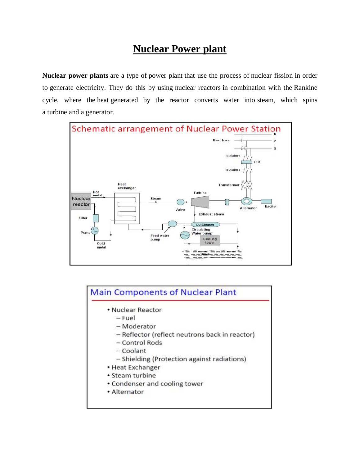# **Nuclear Power plant**

**Nuclear power plants** are a type of [power plant](https://energyeducation.ca/encyclopedia/Power_plant) that use the process of [nuclear fission](https://energyeducation.ca/encyclopedia/Nuclear_fission) in order to [generate electricity.](https://energyeducation.ca/encyclopedia/Generate_electricity) They do this by using [nuclear reactors](https://energyeducation.ca/encyclopedia/Nuclear_reactor) in combination with the [Rankine](https://energyeducation.ca/encyclopedia/Rankine_cycle)  [cycle,](https://energyeducation.ca/encyclopedia/Rankine_cycle) where the [heat](https://energyeducation.ca/encyclopedia/Heat) generated by the reactor converts water into [steam,](https://energyeducation.ca/encyclopedia/Steam) which spins a [turbine](https://energyeducation.ca/encyclopedia/Turbine) and a [generator.](https://energyeducation.ca/encyclopedia/Generator)



## **Main Components of Nuclear Plant**

- Nuclear Reactor
	- Fuel
	- Moderator
	- Reflector (reflect neutrons back in reactor)
	- Control Rods
	- Coolant
	- Shielding (Protection against radiations)
- Heat Exchanger
- Steam turbine
- Condenser and cooling tower
- Alternator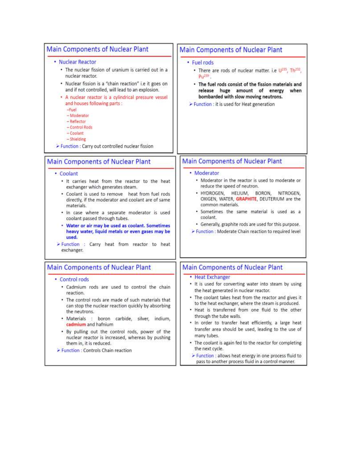| <b>Main Components of Nuclear Plant</b>                                                                                                                                                                                                                                                                                                                                                                                                                                             | <b>Main Components of Nuclear Plant</b>                                                                                                                                                                                                                                                                                                                                                                                                                                                                                                                                                                                                           |  |
|-------------------------------------------------------------------------------------------------------------------------------------------------------------------------------------------------------------------------------------------------------------------------------------------------------------------------------------------------------------------------------------------------------------------------------------------------------------------------------------|---------------------------------------------------------------------------------------------------------------------------------------------------------------------------------------------------------------------------------------------------------------------------------------------------------------------------------------------------------------------------------------------------------------------------------------------------------------------------------------------------------------------------------------------------------------------------------------------------------------------------------------------------|--|
| • Nuclear Reactor<br>. The nuclear fission of uranium is carried out in a<br>nuclear reactor.<br>· Nuclear fission is a "chain reaction" i.e it goes on<br>and if not controlled, will lead to an explosion.<br>· A nuclear reactor is a cylindrical pressure vessel<br>and houses following parts :<br>$-Fue$<br>- Moderator<br>$-$ Reflector<br>- Control Rods<br>$-$ Coolant<br>$-$ Shielding<br>Function: Carry out controlled nuclear fission                                  | · Fuel rods<br>. There are rods of nuclear matter. i.e U235, Th <sup>232</sup> ,<br>$PU^{2,39}$<br>. The fuel rods consist of the fission materials and<br>release huge amount of energy<br>when<br>bombarded with slow moving neutrons.<br>Function : it is used for Heat generation                                                                                                                                                                                                                                                                                                                                                             |  |
| <b>Main Components of Nuclear Plant</b>                                                                                                                                                                                                                                                                                                                                                                                                                                             | <b>Main Components of Nuclear Plant</b>                                                                                                                                                                                                                                                                                                                                                                                                                                                                                                                                                                                                           |  |
| • Coolant<br>. It carries heat from the reactor to the heat<br>exchanger which generates steam.<br>. Coolant is used to remove heat from fuel rods<br>directly, if the moderator and coolant are of same<br>materials.<br>. In case where a separate moderator is used<br>coolant passed through tubes.<br>. Water or air may be used as coolant. Sometimes<br>heavy water, liquid metals or even gases may be<br>used.<br>Function : Carry heat from reactor to heat<br>exchanger. | · Moderator<br>. Moderator in the reactor is used to moderate or<br>reduce the speed of neutron.<br>· HYDROGEN.<br>HELIUM,<br>BORON,<br>NITROGEN.<br>OXIGEN, WATER, GRAPHITE, DEUTERIUM are the<br>common materials.<br>· Sometimes the same material is used as a<br>coolant.<br>• Generally, graphite rods are used for this purpose.<br>Function : Moderate Chain reaction to required level                                                                                                                                                                                                                                                   |  |
| <b>Main Components of Nuclear Plant</b>                                                                                                                                                                                                                                                                                                                                                                                                                                             | <b>Main Components of Nuclear Plant</b>                                                                                                                                                                                                                                                                                                                                                                                                                                                                                                                                                                                                           |  |
| • Control rods<br>. Cadmium rods are used to control the chain<br>reaction.<br>. The control rods are made of such materials that<br>can stop the nuclear reaction quickly by absorbing<br>the neutrons.<br>· Materials : boron carbide, silver, indium,<br>cadmium and hafnium<br>. By pulling out the control rods, power of the<br>nuclear reactor is increased, whereas by pushing<br>them in, it is reduced.<br>Eunction : Controls Chain reaction                             | • Heat Exchanger<br>• It is used for converting water into steam by using<br>the heat generated in nuclear reactor.<br>. The coolant takes heat from the reactor and gives it<br>to the heat exchanger, where the steam is produced.<br>. Heat is transferred from one fluid to the other<br>through the tube walls.<br>. In order to transfer heat efficiently, a large heat<br>transfer area should be used, leading to the use of<br>many tubes.<br>• The coolant is again fed to the reactor for completing<br>the next cycle.<br>Function : allows heat energy in one process fluid to<br>pass to another process fluid in a control manner. |  |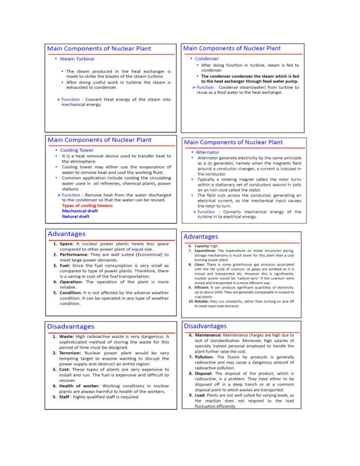#### **Main Components of Nuclear Plant**

#### · Steam Turbine

- The steam produced in the heat exchanger is made to strike the blades of the steam turbine.
- . After doing useful work in turbine the steam is exhausted to condenser.
- Function : Convert Heat energy of the steam into mechanical energy.

#### **Main Components of Nuclear Plant**

- Cooling Tower
- It is a heat removal device used to transfer heat to the atmosphere.
- Cooling tower may either use the evaporation of water to remove heat and cool the working fluid.
- Common application include cooling the circulating water used in oil refineries, chemical plants, power stations.
- > Function : Remove heat from the water discharged to the condenser so that the water can be reused. **Types of cooling towers: Mechanical draft Natural draft**

#### **Advantages**

- 1. Space: A nuclear power plants needs less space compared to other power plant of equal size.
- 2. Performance: They are well suited (Economical) to meet large power demands.
- 3. Fuel: Since the fuel consumption is very small as compared to type of power plants. Therefore, there is a saving in cost of the fuel transportation.
- 4. Operation: The operation of the plant is more reliable.
- 5. Condition: It is not affected by the adverse weather condition. It can be operated in any type of weather condition.

#### **Disadvantages**

- 1. Waste: High radioactive waste is very dangerous. A sophisticated method of storing the waste for this period of time must be designed.
- 2. Terrorism: Nuclear power plant would be very tempting target to anyone wanting to disrupt the power supply and destruct an entire region.
- 3. Cost: These types of plants are very expensive to install and run. The fuel is expensive and difficult to recover.
- 4. Health of worker: Working conditions in nuclear plants are always harmful to health of the workers.

#### 5. Staff : highly qualified staff is required

#### **Main Components of Nuclear Plant**

#### • Condenser

- · After doing function in turbine, steam is fed to condenser.
- The condenser condenses the steam which is fed to the heat exchanger through feed water pump.
- > Function : Condense steam(water) from turbine to reuse as a feed water to the heat exchanger.

#### **Main Components of Nuclear Plant**

#### · Alternator

- . Alternator generate electricity by the same principle as a dc generator, namely when the magnetic field around a conductor changes, a current is induced in the conductor.
- Typically a rotating magnet called the rotor turns within a stationary set of conductors wound in coils on an iron core called the stator.
- The field cuts across the conductor, generating an electrical current, as the mechanical input causes the rotor to turn.
- Function : Converts mechanical energy of the turbine in to electrical energy.

### **Advantages**

- 6. Capacity: high
- 7. Expenditure: The expenditure on metal structures piping, storage mechanisms is much lower for this plant then a coal burning power plant.
- 8. Clean: There is some greenhouse gas emission associated with the life cycle of uranium, as gases are emitted as it is mined and transported etc. However this is significantly, nuclear power would be "carbon-zero" if the uranium were mined and transported in a more efficient way.
- 9. Efficient: It can produce significant quantities of electricity, up to about 2GW. They are generally comparable in output to coal plants.
- 10. Reliable: they run constantly, rather than turning on and off to meet base load demand.

#### **Disadvantages**

- 6. Maintenance: Maintenance charges are high due to lack of standardization. Moreover, high salaries of specially trained personal employed to handle the plant further raise the cost
- 7. Pollution: The fission by products is generally radioactive and may cause a dangerous amount of radioactive pollution.
- 8. Disposal: The disposal of the product, which is radioactive, is a problem. They have either to be disposed off in a deep trench or at a common disposal point to which wastes are transported.
- 9. Load: Plants are not well suited for varying loads, as the reaction does not respond to the load fluctuation efficiently.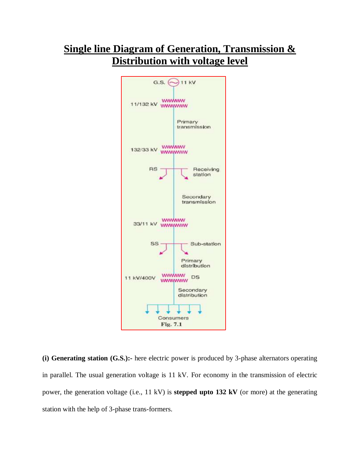# **Single line Diagram of Generation, Transmission & Distribution with voltage level**



**(i) Generating station (G.S.):-** here electric power is produced by 3-phase alternators operating in parallel. The usual generation voltage is 11 kV. For economy in the transmission of electric power, the generation voltage (i.e., 11 kV) is **stepped upto 132 kV** (or more) at the generating station with the help of 3-phase trans-formers.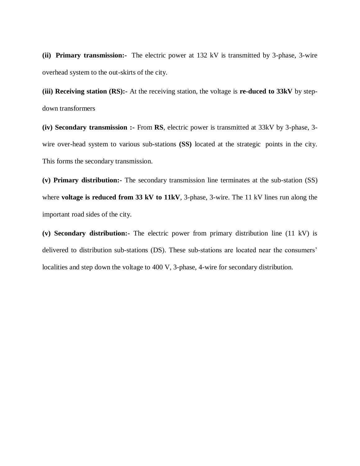**(ii) Primary transmission:-** The electric power at 132 kV is transmitted by 3-phase, 3-wire overhead system to the out-skirts of the city.

**(iii) Receiving station (RS):-** At the receiving station, the voltage is **re-duced to 33kV** by stepdown transformers

**(iv) Secondary transmission :-** From **RS**, electric power is transmitted at 33kV by 3-phase, 3 wire over-head system to various sub-stations **(SS)** located at the strategic points in the city. This forms the secondary transmission.

**(v) Primary distribution:-** The secondary transmission line terminates at the sub-station (SS) where **voltage is reduced from 33 kV to 11kV**, 3-phase, 3-wire. The 11 kV lines run along the important road sides of the city.

**(v) Secondary distribution:-** The electric power from primary distribution line (11 kV) is delivered to distribution sub-stations (DS). These sub-stations are located near the consumers' localities and step down the voltage to 400 V, 3-phase, 4-wire for secondary distribution.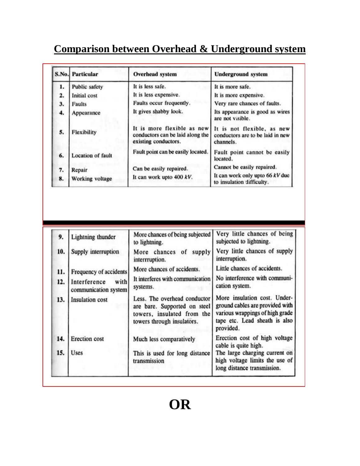# **Comparison between Overhead & Underground system**

|    | S.No. Particular     | Overhead system                                                                        | <b>Underground</b> system                                                   |
|----|----------------------|----------------------------------------------------------------------------------------|-----------------------------------------------------------------------------|
| 1. | <b>Public safety</b> | It is less safe.                                                                       | It is more safe.                                                            |
| 2. | Initial cost         | It is less expensive.                                                                  | It is more expensive.                                                       |
| 3. | Faults               | Faults occur frequently.                                                               | Very rare chances of faults.                                                |
| 4. | Appearance           | It gives shabby look.                                                                  | Its appearance is good as wires<br>are not visible.                         |
| 5. | Flexibility          | It is more flexible as new<br>conductors can be laid along the<br>existing conductors. | It is not flexible, as new<br>conductors are to be laid in new<br>channels. |
| 6. | Location of fault    | Fault point can be easily located.                                                     | Fault point cannot be easily<br>located.                                    |
| 7. | Repair               | Can be easily repaired.                                                                | Cannot be easily repaired.                                                  |
| 8. | Working voltage      | It can work upto 400 kV.                                                               | It can work only upto $66 kV$ due<br>to insulation difficulty.              |

| 9.  | Lightning thunder                            | More chances of being subjected<br>to lightning.                                                                         | Very little chances of being<br>subjected to lightning.                                                                                          |
|-----|----------------------------------------------|--------------------------------------------------------------------------------------------------------------------------|--------------------------------------------------------------------------------------------------------------------------------------------------|
| 10. | Supply interruption                          | More chances of supply<br>interrruption.                                                                                 | Very little chances of supply<br>interruption.                                                                                                   |
| 11. | Frequency of accidents                       | More chances of accidents.                                                                                               | Little chances of accidents.                                                                                                                     |
| 12. | Interference<br>with<br>communication system | It interferes with communication<br>systems.                                                                             | No interference with communi-<br>cation system.                                                                                                  |
| 13. | Insulation cost                              | Less. The overhead conductor<br>are bare. Supported on steel<br>towers, insulated from the<br>towers through insulators. | More insulation cost. Under-<br>ground cables are provided with<br>various wrappings of high grade<br>tape etc. Lead sheath is also<br>provided. |
| 14. | <b>Erection</b> cost                         | Much less comparatively                                                                                                  | Erection cost of high voltage<br>cable is quite high.                                                                                            |
| 15. | Uses                                         | This is used for long distance<br>transmission                                                                           | The large charging current on<br>high voltage limits the use of<br>long distance transmission.                                                   |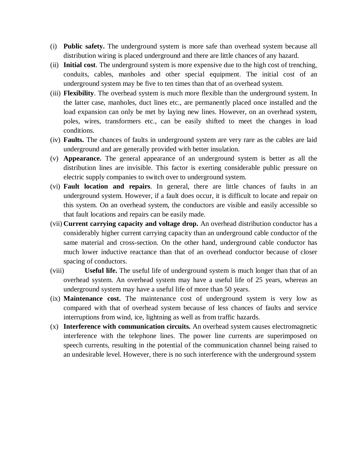- (i) **Public safety.** The underground system is more safe than overhead system because all distribution wiring is placed underground and there are little chances of any hazard.
- (ii) **Initial cost**. The underground system is more expensive due to the high cost of trenching, conduits, cables, manholes and other special equipment. The initial cost of an underground system may be five to ten times than that of an overhead system.
- (iii) **Flexibility**. The overhead system is much more flexible than the underground system. In the latter case, manholes, duct lines etc., are permanently placed once installed and the load expansion can only be met by laying new lines. However, on an overhead system, poles, wires, transformers etc., can be easily shifted to meet the changes in load conditions.
- (iv) **Faults.** The chances of faults in underground system are very rare as the cables are laid underground and are generally provided with better insulation.
- (v) **Appearance.** The general appearance of an underground system is better as all the distribution lines are invisible. This factor is exerting considerable public pressure on electric supply companies to switch over to underground system.
- (vi) **Fault location and repairs**. In general, there are little chances of faults in an underground system. However, if a fault does occur, it is difficult to locate and repair on this system. On an overhead system, the conductors are visible and easily accessible so that fault locations and repairs can be easily made.
- (vii) **Current carrying capacity and voltage drop.** An overhead distribution conductor has a considerably higher current carrying capacity than an underground cable conductor of the same material and cross-section. On the other hand, underground cable conductor has much lower inductive reactance than that of an overhead conductor because of closer spacing of conductors.
- (viii) **Useful life.** The useful life of underground system is much longer than that of an overhead system. An overhead system may have a useful life of 25 years, whereas an underground system may have a useful life of more than 50 years.
- (ix) **Maintenance cost.** The maintenance cost of underground system is very low as compared with that of overhead system because of less chances of faults and service interruptions from wind, ice, lightning as well as from traffic hazards.
- (x) **Interference with communication circuits.** An overhead system causes electromagnetic interference with the telephone lines. The power line currents are superimposed on speech currents, resulting in the potential of the communication channel being raised to an undesirable level. However, there is no such interference with the underground system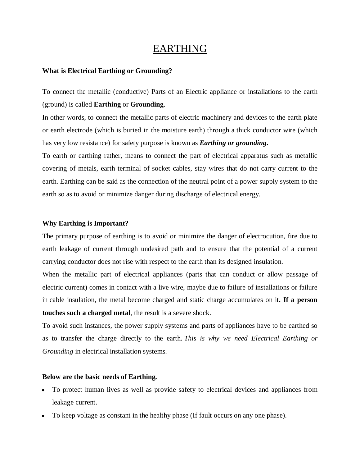# EARTHING

#### **What is Electrical Earthing or Grounding?**

To connect the metallic (conductive) Parts of an Electric appliance or installations to the earth (ground) is called **Earthing** or **Grounding**.

In other words, to connect the metallic parts of electric machinery and devices to the earth plate or earth electrode (which is buried in the moisture earth) through a thick conductor wire (which has very low [resistance\)](https://www.electricaltechnology.org/2014/01/what-is-difference-between-ac-and-dc-resistance.html) for safety purpose is known as *Earthing or grounding***.**

To earth or earthing rather, means to connect the part of electrical apparatus such as metallic covering of metals, earth terminal of socket cables, stay wires that do not carry current to the earth. Earthing can be said as the connection of the neutral point of a power supply system to the earth so as to avoid or minimize danger during discharge of electrical energy.

#### **Why Earthing is Important?**

The primary purpose of earthing is to avoid or minimize the danger of electrocution, fire due to earth leakage of current through undesired path and to ensure that the potential of a current carrying conductor does not rise with respect to the earth than its designed insulation.

When the metallic part of electrical appliances (parts that can conduct or allow passage of electric current) comes in contact with a live wire, maybe due to failure of installations or failure in cable [insulation,](https://www.electricaltechnology.org/2015/03/insulation-resistance-of-a-cable.html) the metal become charged and static charge accumulates on it**. If a person touches such a charged metal**, the result is a severe shock.

To avoid such instances, the power supply systems and parts of appliances have to be earthed so as to transfer the charge directly to the earth. *This is why we need Electrical Earthing or Grounding* in electrical installation systems.

#### **Below are the basic needs of Earthing***.*

- To protect human lives as well as provide safety to electrical devices and appliances from  $\bullet$ leakage current.
- To keep voltage as constant in the healthy phase (If fault occurs on any one phase). $\bullet$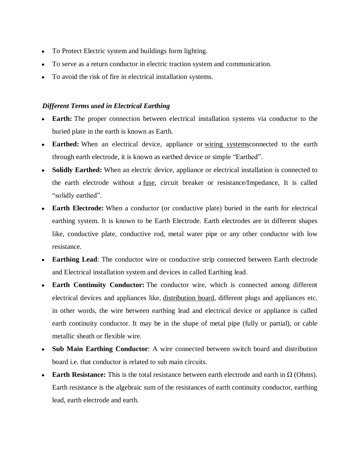- To Protect Electric system and buildings form lighting.  $\bullet$
- To serve as a return conductor in electric traction system and communication.
- To avoid the risk of fire in electrical installation systems.  $\bullet$

#### *Different Terms used in Electrical Earthing*

- **Earth:** The proper connection between electrical installation systems via conductor to the buried plate in the earth is known as Earth.
- **Earthed:** When an electrical device, appliance or wiring systems connected to the earth through earth electrode, it is known as earthed device or simple "Earthed".
- **Solidly Earthed:** When an electric device, appliance or electrical installation is connected to  $\bullet$ the earth electrode without a [fuse,](https://www.electricaltechnology.org/2014/11/fuse-types-of-fuses.html) circuit breaker or resistance/Impedance, It is called "solidly earthed".
- **Earth Electrode:** When a conductor (or conductive plate) buried in the earth for electrical  $\bullet$ earthing system. It is known to be Earth Electrode. Earth electrodes are in different shapes like, conductive plate, conductive rod, metal water pipe or any other conductor with low resistance.
- **Earthing Lead**: The conductor wire or conductive strip connected between Earth electrode  $\bullet$ and Electrical installation system and devices in called Earthing lead.
- **Earth Continuity Conductor:** The conductor wire, which is connected among different electrical devices and appliances like, [distribution](https://www.electricaltechnology.org/2013/05/wiring-of-distribution-board-with-rcd.html) board, different plugs and appliances etc. in other words, the wire between earthing lead and electrical device or appliance is called earth continuity conductor. It may be in the shape of metal pipe (fully or partial), or cable metallic sheath or flexible wire.
- **Sub Main Earthing Conductor**: A wire connected between switch board and distribution board i.e. that conductor is related to sub main circuits.
- **Earth Resistance:** This is the total resistance between earth electrode and earth in  $\Omega$  (Ohms).  $\bullet$ Earth resistance is the algebraic sum of the resistances of earth continuity conductor, earthing lead, earth electrode and earth.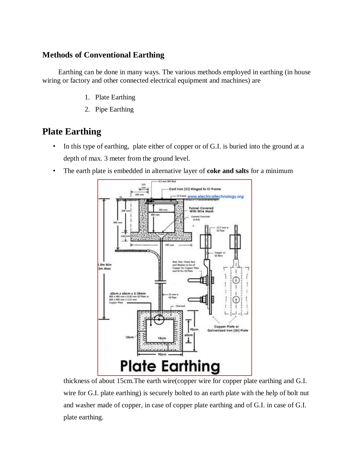## **Methods of Conventional Earthing**

Earthing can be done in many ways. The various methods employed in earthing (in house wiring or factory and other connected electrical equipment and machines) are

- 1. Plate Earthing
- 2. Pipe Earthing

# **Plate Earthing**

- In this type of earthing, plate either of copper or of G.I. is buried into the ground at a depth of max. 3 meter from the ground level.
- The earth plate is embedded in alternative layer of **coke and salts** for a minimum



thickness of about 15cm.The earth wire(copper wire for copper plate earthing and G.I. wire for G.I. plate earthing) is securely bolted to an earth plate with the help of bolt nut and washer made of copper, in case of copper plate earthing and of G.I. in case of G.I. plate earthing.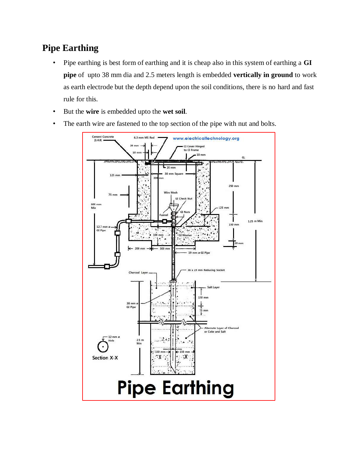# **Pipe Earthing**

- Pipe earthing is best form of earthing and it is cheap also in this system of earthing a **GI pipe** of upto 38 mm dia and 2.5 meters length is embedded **vertically in ground** to work as earth electrode but the depth depend upon the soil conditions, there is no hard and fast rule for this.
- But the **wire** is embedded upto the **wet soil**.
- The earth wire are fastened to the top section of the pipe with nut and bolts.

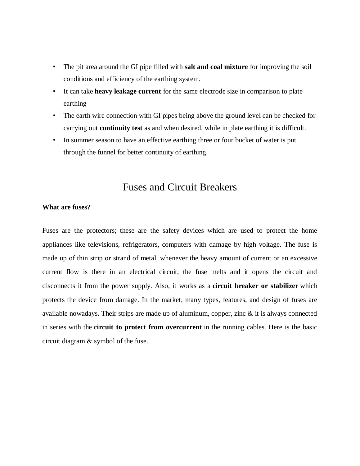- The pit area around the GI pipe filled with **salt and coal mixture** for improving the soil conditions and efficiency of the earthing system.
- It can take **heavy leakage current** for the same electrode size in comparison to plate earthing
- The earth wire connection with GI pipes being above the ground level can be checked for carrying out **continuity test** as and when desired, while in plate earthing it is difficult.
- In summer season to have an effective earthing three or four bucket of water is put through the funnel for better continuity of earthing.

## Fuses and Circuit Breakers

#### **What are fuses?**

Fuses are the protectors; these are the safety devices which are used to protect the home appliances like televisions, refrigerators, computers with damage by high voltage. The fuse is made up of thin strip or strand of metal, whenever the heavy amount of current or an excessive current flow is there in an electrical circuit, the fuse melts and it opens the circuit and disconnects it from the power supply. Also, it works as a **circuit breaker or stabilizer** which protects the device from damage. In the market, many types, features, and design of fuses are available nowadays. Their strips are made up of aluminum, copper, zinc  $\&$  it is always connected in series with the **circuit to protect from overcurrent** in the running cables. Here is the basic circuit diagram & symbol of the fuse.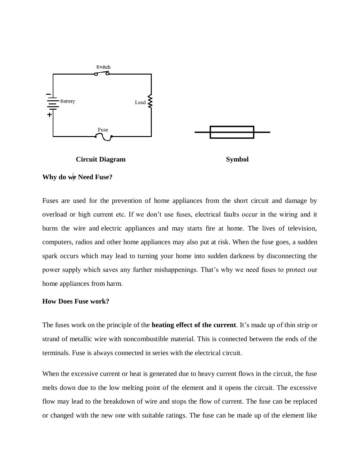

#### **Why do we Need Fuse?**

Fuses are used for the prevention of home appliances from the short circuit and damage by overload or high current etc. If we don't use fuses, electrical faults occur in the wiring and it burns the wire and electric appliances and may starts fire at home. The lives of television, computers, radios and other home appliances may also put at risk. When the fuse goes, a sudden spark occurs which may lead to turning your home into sudden darkness by disconnecting the power supply which saves any further mishappenings. That's why we need fuses to protect our home appliances from harm.

#### **How Does Fuse work?**

The fuses work on the principle of the **heating effect of the current**. It's made up of thin strip or strand of metallic wire with noncombustible material. This is connected between the ends of the terminals. Fuse is always connected in series with the electrical circuit.

When the excessive current or heat is generated due to heavy current flows in the circuit, the fuse melts down due to the low melting point of the element and it opens the circuit. The excessive flow may lead to the breakdown of wire and stops the flow of current. The fuse can be replaced or changed with the new one with suitable ratings. The fuse can be made up of the element like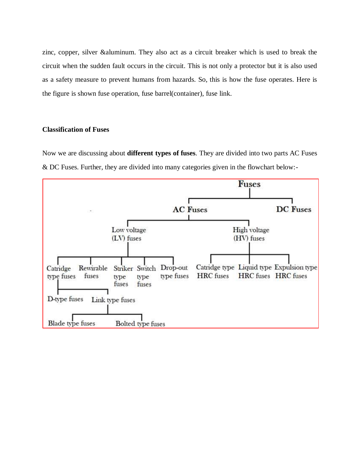zinc, copper, silver &aluminum. They also act as a circuit breaker which is used to break the circuit when the sudden fault occurs in the circuit. This is not only a protector but it is also used as a safety measure to prevent humans from hazards. So, this is how the fuse operates. Here is the figure is shown fuse operation, fuse barrel(container), fuse link.

#### **Classification of Fuses**

Now we are discussing about **different types of fuses**. They are divided into two parts AC Fuses & DC Fuses. Further, they are divided into many categories given in the flowchart below:-

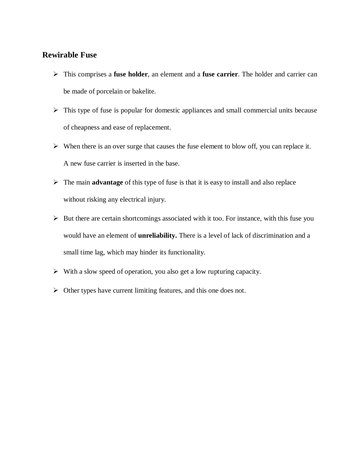### **Rewirable Fuse**

- This comprises a **fuse holder**, an element and a **fuse carrier**. The holder and carrier can be made of porcelain or bakelite.
- $\triangleright$  This type of fuse is popular for domestic appliances and small commercial units because of cheapness and ease of replacement.
- $\triangleright$  When there is an over surge that causes the fuse element to blow off, you can replace it. A new fuse carrier is inserted in the base.
- The main **advantage** of this type of fuse is that it is easy to install and also replace without risking any electrical injury.
- $\triangleright$  But there are certain shortcomings associated with it too. For instance, with this fuse you would have an element of **unreliability.** There is a level of lack of discrimination and a small time lag, which may hinder its functionality.
- $\triangleright$  With a slow speed of operation, you also get a low rupturing capacity.
- $\triangleright$  Other types have current limiting features, and this one does not.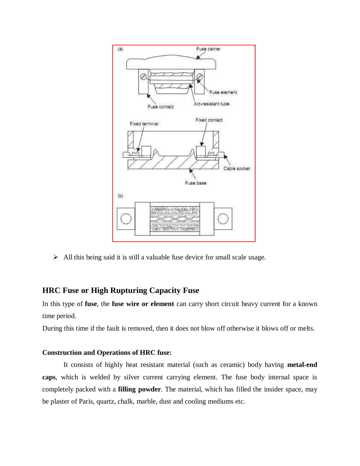

 $\triangleright$  All this being said it is still a valuable fuse device for small scale usage.

## **HRC Fuse or High Rupturing Capacity Fuse**

In this type of **fuse**, the **fuse wire or element** can carry short circuit heavy current for a known time period.

During this time if the fault is removed, then it does not blow off otherwise it blows off or melts.

#### **Construction and Operations of HRC fuse:**

It consists of highly heat resistant material (such as ceramic) body having **metal-end caps**, which is welded by silver current carrying element. The fuse body internal space is completely packed with a **filling powder**. The material, which has filled the insider space, may be plaster of Paris, quartz, chalk, marble, dust and cooling mediums etc.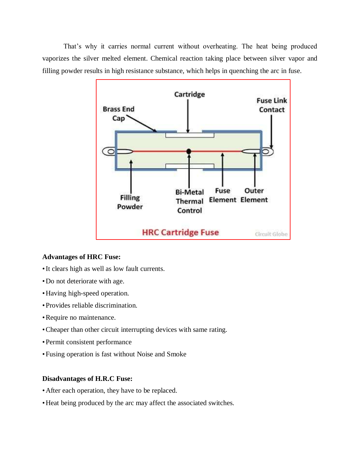That's why it carries normal current without overheating. The heat being produced vaporizes the silver melted element. Chemical reaction taking place between silver vapor and filling powder results in high resistance substance, which helps in quenching the arc in fuse.



#### **Advantages of HRC Fuse:**

- It clears high as well as low fault currents.
- Do not deteriorate with age. •
- Having high-speed operation.
- Provides reliable discrimination. •
- Require no maintenance.
- Cheaper than other circuit interrupting devices with same rating. •
- Permit consistent performance •
- Fusing operation is fast without Noise and Smoke •

#### **Disadvantages of H.R.C Fuse:**

- After each operation, they have to be replaced. •
- Heat being produced by the arc may affect the associated switches.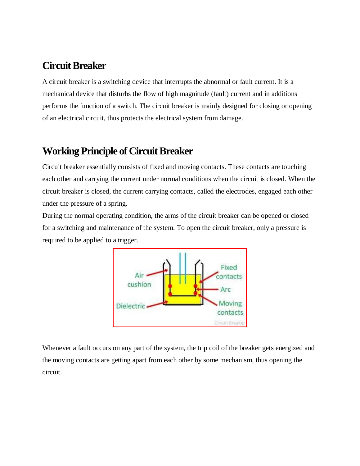# **Circuit Breaker**

A circuit breaker is a switching device that interrupts the abnormal or fault current. It is a mechanical device that disturbs the flow of high magnitude (fault) current and in additions performs the function of a switch. The circuit breaker is mainly designed for closing or opening of an electrical circuit, thus protects the electrical system from damage.

# **Working Principle of Circuit Breaker**

Circuit breaker essentially consists of fixed and moving contacts. These contacts are touching each other and carrying the current under normal conditions when the circuit is closed. When the circuit breaker is closed, the current carrying contacts, called the electrodes, engaged each other under the pressure of a spring.

During the normal operating condition, the arms of the circuit breaker can be opened or closed for a switching and maintenance of the system. To open the circuit breaker, only a pressure is required to be applied to a trigger.



Whenever a fault occurs on any part of the system, the trip coil of the breaker gets energized and the moving contacts are getting apart from each other by some mechanism, thus opening the circuit.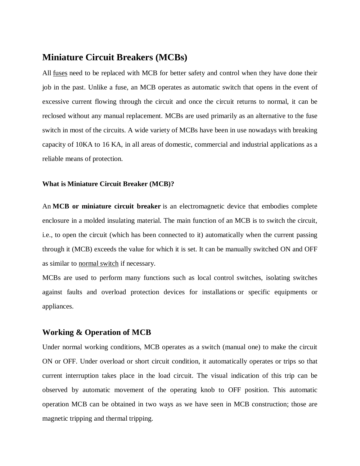## **Miniature Circuit Breakers (MCBs)**

All [fuses](https://www.electricaltechnology.org/2014/11/fuse-types-of-fuses.html) need to be replaced with MCB for better safety and control when they have done their job in the past. Unlike a fuse, an MCB operates as automatic switch that opens in the event of excessive current flowing through the circuit and once the circuit returns to normal, it can be reclosed without any manual replacement. MCBs are used primarily as an alternative to the fuse switch in most of the circuits. A wide variety of MCBs have been in use nowadays with breaking capacity of 10KA to 16 KA, in all areas of domestic, commercial and industrial applications as a reliable means of protection.

#### **What is Miniature Circuit Breaker (MCB)?**

An **MCB or miniature circuit breaker** is an electromagnetic device that embodies complete enclosure in a molded insulating material. The main function of an MCB is to switch the circuit, i.e., to open the circuit (which has been connected to it) automatically when the current passing through it (MCB) exceeds the value for which it is set. It can be manually switched ON and OFF as similar to [normal](https://www.electricaltechnology.org/2014/11/types-of-switches-electrical.html) switch if necessary.

MCBs are used to perform many functions such as local control switches, isolating switches against faults and overload protection devices for [installations](https://www.electricaltechnology.org/2013/09/electrical-wiring.html) or specific equipments or appliances.

#### **Working & Operation of MCB**

Under normal working conditions, MCB operates as a switch (manual one) to make the circuit ON or OFF. Under overload or short circuit condition, it automatically operates or trips so that current interruption takes place in the load circuit. The visual indication of this trip can be observed by automatic movement of the operating knob to OFF position. This automatic operation MCB can be obtained in two ways as we have seen in MCB construction; those are magnetic tripping and thermal tripping.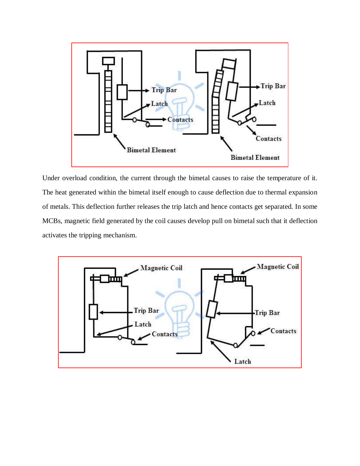

Under overload condition, the current through the bimetal causes to raise the temperature of it. The heat generated within the bimetal itself enough to cause deflection due to thermal expansion of metals. This deflection further releases the trip latch and hence contacts get separated. In some MCBs, magnetic field generated by the coil causes develop pull on bimetal such that it deflection activates the tripping mechanism.

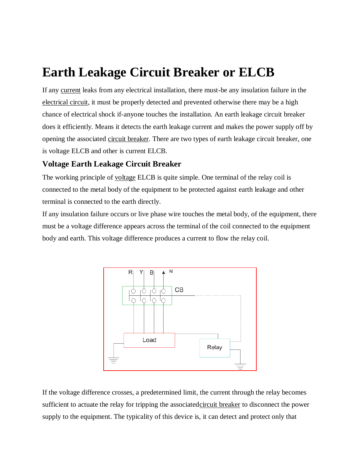# **Earth Leakage Circuit Breaker or ELCB**

If any [current](https://www.electrical4u.com/electric-current-and-theory-of-electricity/#what-is-electric-current) leaks from any electrical installation, there must-be any insulation failure in the [electrical](https://www.electrical4u.com/electric-circuit-or-electrical-network/) circuit, it must be properly detected and prevented otherwise there may be a high chance of electrical shock if-anyone touches the installation. An earth leakage circuit breaker does it efficiently. Means it detects the earth leakage current and makes the power supply off by opening the associated circuit [breaker.](https://www.electrical4u.com/electrical-circuit-breaker-operation-and-types-of-circuit-breaker/) There are two types of earth leakage circuit breaker, one is voltage ELCB and other is current ELCB.

### **Voltage Earth Leakage Circuit Breaker**

The working principle of [voltage](https://www.electrical4u.com/voltage-or-electric-potential-difference/) ELCB is quite simple. One terminal of the relay coil is connected to the metal body of the equipment to be protected against earth leakage and other terminal is connected to the earth directly.

If any insulation failure occurs or live phase wire touches the metal body, of the equipment, there must be a voltage difference appears across the terminal of the coil connected to the equipment body and earth. This voltage difference produces a current to flow the relay coil.



If the voltage difference crosses, a predetermined limit, the current through the relay becomes sufficient to actuate the relay for tripping the associated circuit [breaker](https://www.electrical4u.com/electrical-circuit-breaker-operation-and-types-of-circuit-breaker/) to disconnect the power supply to the equipment. The typicality of this device is, it can detect and protect only that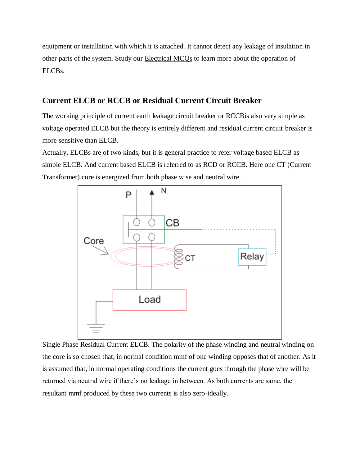equipment or installation with which it is attached. It cannot detect any leakage of insulation in other parts of the system. Study our [Electrical](https://www.electrical4u.com/electrical-engineering-objective-questions-mcq/) MCQs to learn more about the operation of ELCBs.

## **Current ELCB or RCCB or Residual Current Circuit Breaker**

The working principle of current earth leakage circuit breaker or RCCBis also very simple as voltage operated ELCB but the theory is entirely different and residual current circuit breaker is more sensitive than ELCB.

Actually, ELCBs are of two kinds, but it is general practice to refer voltage based ELCB as simple ELCB. And current based ELCB is referred to as RCD or RCCB. Here one CT (Current Transformer) core is energized from both phase wise and neutral wire.



Single Phase Residual Current ELCB. The polarity of the phase winding and neutral winding on the core is so chosen that, in normal condition mmf of one winding opposes that of another. As it is assumed that, in normal operating conditions the current goes through the phase wire will be returned via neutral wire if there's no leakage in between. As both currents are same, the resultant mmf produced by these two currents is also zero-ideally.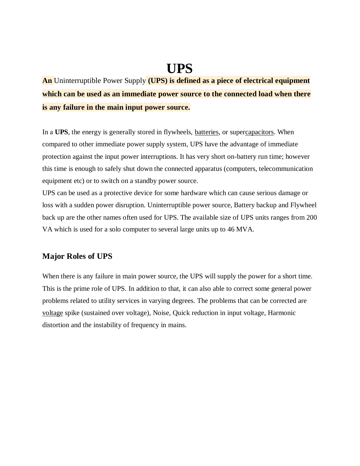# **UPS**

**An** Uninterruptible Power Supply **(UPS) is defined as a piece of electrical equipment which can be used as an immediate power source to the connected load when there is any failure in the main input power source.**

In a UPS, the energy is generally stored in flywheels, [batteries,](https://www.electrical4u.com/battery-working-principle-of-batteries/) or supe[rcapacitors.](https://www.electrical4u.com/what-is-capacitor/) When compared to other immediate power supply system, UPS have the advantage of immediate protection against the input power interruptions. It has very short on-battery run time; however this time is enough to safely shut down the connected apparatus (computers, telecommunication equipment etc) or to switch on a standby power source.

UPS can be used as a protective device for some hardware which can cause serious damage or loss with a sudden power disruption. Uninterruptible power source, Battery backup and Flywheel back up are the other names often used for UPS. The available size of UPS units ranges from 200 VA which is used for a solo computer to several large units up to 46 MVA.

### **Major Roles of UPS**

When there is any failure in main power source, the UPS will supply the power for a short time. This is the prime role of UPS. In addition to that, it can also able to correct some general power problems related to utility services in varying degrees. The problems that can be corrected are [voltage](https://www.electrical4u.com/voltage-or-electric-potential-difference/) spike (sustained over voltage), Noise, Quick reduction in input voltage, Harmonic distortion and the instability of frequency in mains.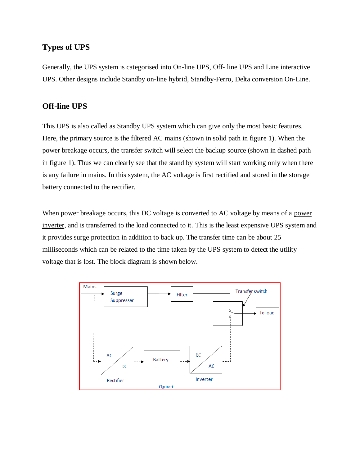## **Types of UPS**

Generally, the UPS system is categorised into On-line UPS, Off- line UPS and Line interactive UPS. Other designs include Standby on-line hybrid, Standby-Ferro, Delta conversion On-Line.

### **Off-line UPS**

This UPS is also called as Standby UPS system which can give only the most basic features. Here, the primary source is the filtered AC mains (shown in solid path in figure 1). When the power breakage occurs, the transfer switch will select the backup source (shown in dashed path in figure 1). Thus we can clearly see that the stand by system will start working only when there is any failure in mains. In this system, the AC voltage is first rectified and stored in the storage battery connected to the rectifier.

When [power](https://www.electrical4u.com/power-inverter/) breakage occurs, this DC voltage is converted to AC voltage by means of a power [inverter,](https://www.electrical4u.com/power-inverter/) and is transferred to the load connected to it. This is the least expensive UPS system and it provides surge protection in addition to back up. The transfer time can be about 25 milliseconds which can be related to the time taken by the UPS system to detect the utility [voltage](https://www.electrical4u.com/voltage-or-electric-potential-difference/) that is lost. The block diagram is shown below.

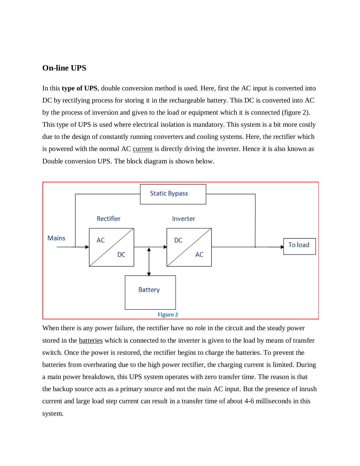### **On-line UPS**

In this **type of UPS**, double conversion method is used. Here, first the AC input is converted into DC by rectifying process for storing it in the rechargeable battery. This DC is converted into AC by the process of inversion and given to the load or equipment which it is connected (figure 2). This type of UPS is used where electrical isolation is mandatory. This system is a bit more costly due to the design of constantly running converters and cooling systems. Here, the rectifier which is powered with the normal AC [current](https://www.electrical4u.com/electric-current-and-theory-of-electricity/) is directly driving the inverter. Hence it is also known as Double conversion UPS. The block diagram is shown below.



When there is any power failure, the rectifier have no role in the circuit and the steady power stored in the [batteries](https://www.electrical4u.com/battery-working-principle-of-batteries/) which is connected to the inverter is given to the load by means of transfer switch. Once the power is restored, the rectifier begins to charge the batteries. To prevent the batteries from overheating due to the high power rectifier, the charging current is limited. During a main power breakdown, this UPS system operates with zero transfer time. The reason is that the backup source acts as a primary source and not the main AC input. But the presence of inrush current and large load step current can result in a transfer time of about 4-6 milliseconds in this system.